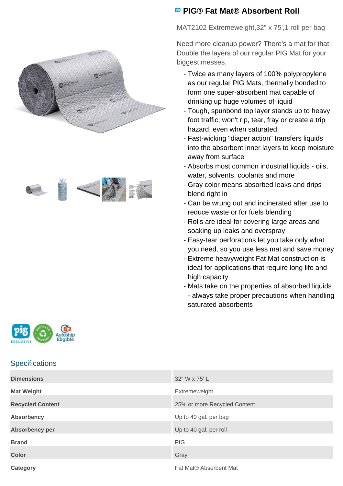



## **<sup>B</sup>** PIG® Fat Mat® Absorbent Roll

MAT2102 Extremeweight,32" x 75',1 roll per bag

Need more cleanup power? There's a mat for that. Double the layers of our regular PIG Mat for your biggest messes.

- Twice as many layers of 100% polypropylene as our regular PIG Mats, thermally bonded to form one super-absorbent mat capable of drinking up huge volumes of liquid
- Tough, spunbond top layer stands up to heavy foot traffic; won't rip, tear, fray or create a trip hazard, even when saturated
- Fast-wicking "diaper action" transfers liquids into the absorbent inner layers to keep moisture away from surface
- Absorbs most common industrial liquids oils, water, solvents, coolants and more
- Gray color means absorbed leaks and drips blend right in
- Can be wrung out and incinerated after use to reduce waste or for fuels blending
- Rolls are ideal for covering large areas and soaking up leaks and overspray
- Easy-tear perforations let you take only what you need, so you use less mat and save money
- Extreme heavyweight Fat Mat construction is ideal for applications that require long life and high capacity
- Mats take on the properties of absorbed liquids - always take proper precautions when handling saturated absorbents



## **Specifications**

| <b>Dimensions</b>       | 32" W x 75' L                |
|-------------------------|------------------------------|
| <b>Mat Weight</b>       | Extremeweight                |
| <b>Recycled Content</b> | 25% or more Recycled Content |
| <b>Absorbency</b>       | Up to 40 gal. per bag        |
| <b>Absorbency per</b>   | Up to 40 gal. per roll       |
| <b>Brand</b>            | <b>PIG</b>                   |
| <b>Color</b>            | Gray                         |
| Category                | Fat Mat® Absorbent Mat       |